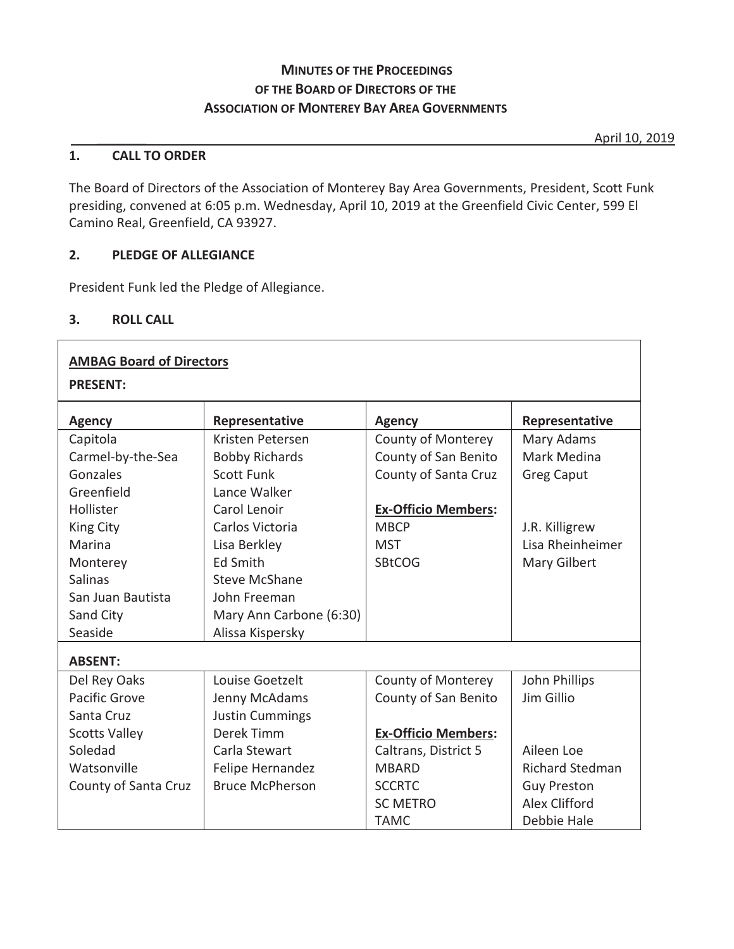### **MINUTES OF THE PROCEEDINGS OF THE BOARD OF DIRECTORS OF THE ASSOCIATION OF MONTEREY BAY AREA GOVERNMENTS**

\_\_\_\_\_\_\_ April 10, 2019

#### **1. CALL TO ORDER**

The Board of Directors of the Association of Monterey Bay Area Governments, President, Scott Funk presiding, convened at 6:05 p.m. Wednesday, April 10, 2019 at the Greenfield Civic Center, 599 El Camino Real, Greenfield, CA 93927.

#### **2. PLEDGE OF ALLEGIANCE**

President Funk led the Pledge of Allegiance.

#### **3. ROLL CALL**

| <b>AMBAG Board of Directors</b><br><b>PRESENT:</b> |                         |                            |                        |  |  |  |  |  |
|----------------------------------------------------|-------------------------|----------------------------|------------------------|--|--|--|--|--|
| <b>Agency</b>                                      | Representative          | <b>Agency</b>              | Representative         |  |  |  |  |  |
| Capitola                                           | Kristen Petersen        | <b>County of Monterey</b>  | Mary Adams             |  |  |  |  |  |
| Carmel-by-the-Sea                                  | <b>Bobby Richards</b>   | County of San Benito       | Mark Medina            |  |  |  |  |  |
| Gonzales                                           | <b>Scott Funk</b>       | County of Santa Cruz       | <b>Greg Caput</b>      |  |  |  |  |  |
| Greenfield                                         | Lance Walker            |                            |                        |  |  |  |  |  |
| Hollister                                          | Carol Lenoir            | <b>Ex-Officio Members:</b> |                        |  |  |  |  |  |
| King City                                          | Carlos Victoria         | <b>MBCP</b>                | J.R. Killigrew         |  |  |  |  |  |
| Marina                                             | Lisa Berkley            | <b>MST</b>                 | Lisa Rheinheimer       |  |  |  |  |  |
| Monterey                                           | Ed Smith                | <b>SBtCOG</b>              | Mary Gilbert           |  |  |  |  |  |
| <b>Salinas</b>                                     | <b>Steve McShane</b>    |                            |                        |  |  |  |  |  |
| San Juan Bautista                                  | John Freeman            |                            |                        |  |  |  |  |  |
| Sand City                                          | Mary Ann Carbone (6:30) |                            |                        |  |  |  |  |  |
| Seaside                                            | Alissa Kispersky        |                            |                        |  |  |  |  |  |
| <b>ABSENT:</b>                                     |                         |                            |                        |  |  |  |  |  |
| Del Rey Oaks                                       | Louise Goetzelt         | <b>County of Monterey</b>  | John Phillips          |  |  |  |  |  |
| Pacific Grove                                      | Jenny McAdams           | County of San Benito       | Jim Gillio             |  |  |  |  |  |
| Santa Cruz                                         | <b>Justin Cummings</b>  |                            |                        |  |  |  |  |  |
| <b>Scotts Valley</b>                               | Derek Timm              | <b>Ex-Officio Members:</b> |                        |  |  |  |  |  |
| Soledad                                            | Carla Stewart           | Caltrans, District 5       | Aileen Loe             |  |  |  |  |  |
| Watsonville                                        | Felipe Hernandez        | <b>MBARD</b>               | <b>Richard Stedman</b> |  |  |  |  |  |
| County of Santa Cruz                               | <b>Bruce McPherson</b>  | <b>SCCRTC</b>              | <b>Guy Preston</b>     |  |  |  |  |  |
|                                                    |                         | <b>SC METRO</b>            | Alex Clifford          |  |  |  |  |  |
|                                                    |                         | <b>TAMC</b>                | Debbie Hale            |  |  |  |  |  |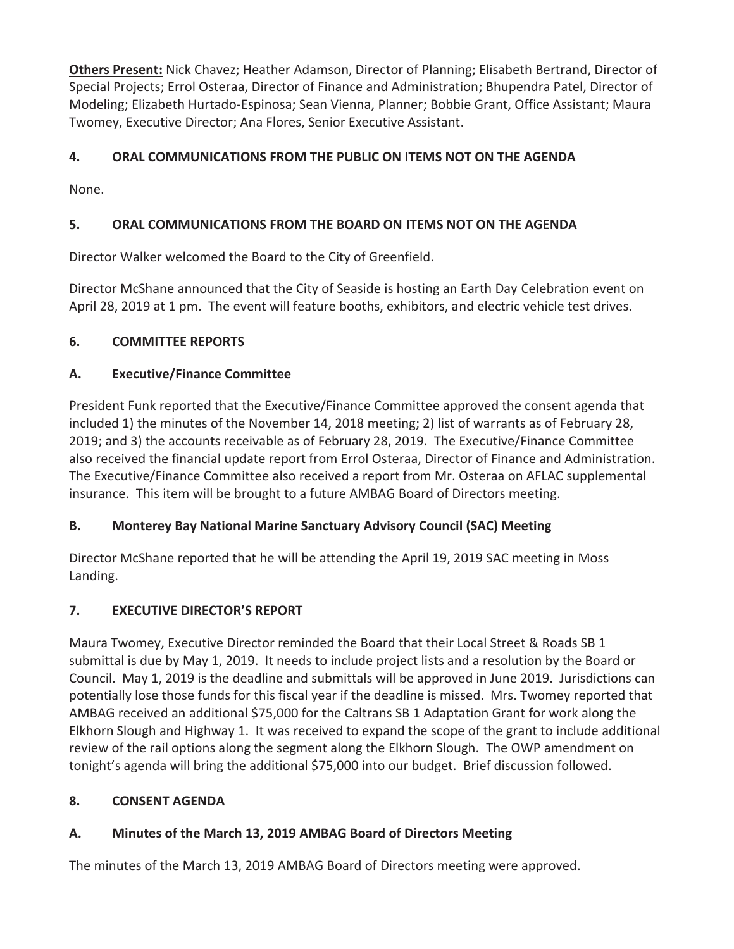**Others Present:** Nick Chavez; Heather Adamson, Director of Planning; Elisabeth Bertrand, Director of Special Projects; Errol Osteraa, Director of Finance and Administration; Bhupendra Patel, Director of Modeling; Elizabeth Hurtado-Espinosa; Sean Vienna, Planner; Bobbie Grant, Office Assistant; Maura Twomey, Executive Director; Ana Flores, Senior Executive Assistant.

# **4. ORAL COMMUNICATIONS FROM THE PUBLIC ON ITEMS NOT ON THE AGENDA**

None.

# **5. ORAL COMMUNICATIONS FROM THE BOARD ON ITEMS NOT ON THE AGENDA**

Director Walker welcomed the Board to the City of Greenfield.

Director McShane announced that the City of Seaside is hosting an Earth Day Celebration event on April 28, 2019 at 1 pm. The event will feature booths, exhibitors, and electric vehicle test drives.

# **6. COMMITTEE REPORTS**

# **A. Executive/Finance Committee**

President Funk reported that the Executive/Finance Committee approved the consent agenda that included 1) the minutes of the November 14, 2018 meeting; 2) list of warrants as of February 28, 2019; and 3) the accounts receivable as of February 28, 2019. The Executive/Finance Committee also received the financial update report from Errol Osteraa, Director of Finance and Administration. The Executive/Finance Committee also received a report from Mr. Osteraa on AFLAC supplemental insurance. This item will be brought to a future AMBAG Board of Directors meeting.

# **B. Monterey Bay National Marine Sanctuary Advisory Council (SAC) Meeting**

Director McShane reported that he will be attending the April 19, 2019 SAC meeting in Moss Landing.

# **7. EXECUTIVE DIRECTOR'S REPORT**

Maura Twomey, Executive Director reminded the Board that their Local Street & Roads SB 1 submittal is due by May 1, 2019. It needs to include project lists and a resolution by the Board or Council. May 1, 2019 is the deadline and submittals will be approved in June 2019. Jurisdictions can potentially lose those funds for this fiscal year if the deadline is missed. Mrs. Twomey reported that AMBAG received an additional \$75,000 for the Caltrans SB 1 Adaptation Grant for work along the Elkhorn Slough and Highway 1. It was received to expand the scope of the grant to include additional review of the rail options along the segment along the Elkhorn Slough. The OWP amendment on tonight's agenda will bring the additional \$75,000 into our budget. Brief discussion followed.

# **8. CONSENT AGENDA**

# **A. Minutes of the March 13, 2019 AMBAG Board of Directors Meeting**

The minutes of the March 13, 2019 AMBAG Board of Directors meeting were approved.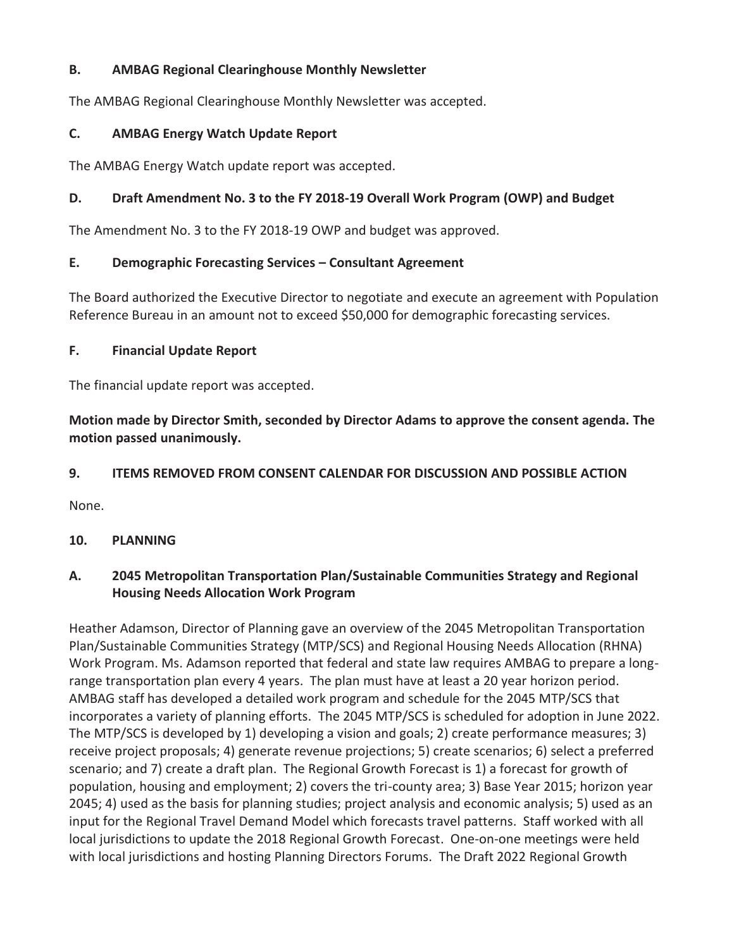### **B. AMBAG Regional Clearinghouse Monthly Newsletter**

The AMBAG Regional Clearinghouse Monthly Newsletter was accepted.

#### **C. AMBAG Energy Watch Update Report**

The AMBAG Energy Watch update report was accepted.

### **D. Draft Amendment No. 3 to the FY 2018-19 Overall Work Program (OWP) and Budget**

The Amendment No. 3 to the FY 2018-19 OWP and budget was approved.

### **E. Demographic Forecasting Services – Consultant Agreement**

The Board authorized the Executive Director to negotiate and execute an agreement with Population Reference Bureau in an amount not to exceed \$50,000 for demographic forecasting services.

### **F. Financial Update Report**

The financial update report was accepted.

**Motion made by Director Smith, seconded by Director Adams to approve the consent agenda. The motion passed unanimously.** 

### **9. ITEMS REMOVED FROM CONSENT CALENDAR FOR DISCUSSION AND POSSIBLE ACTION**

None.

### **10. PLANNING**

### **A. 2045 Metropolitan Transportation Plan/Sustainable Communities Strategy and Regional Housing Needs Allocation Work Program**

Heather Adamson, Director of Planning gave an overview of the 2045 Metropolitan Transportation Plan/Sustainable Communities Strategy (MTP/SCS) and Regional Housing Needs Allocation (RHNA) Work Program. Ms. Adamson reported that federal and state law requires AMBAG to prepare a longrange transportation plan every 4 years. The plan must have at least a 20 year horizon period. AMBAG staff has developed a detailed work program and schedule for the 2045 MTP/SCS that incorporates a variety of planning efforts. The 2045 MTP/SCS is scheduled for adoption in June 2022. The MTP/SCS is developed by 1) developing a vision and goals; 2) create performance measures; 3) receive project proposals; 4) generate revenue projections; 5) create scenarios; 6) select a preferred scenario; and 7) create a draft plan. The Regional Growth Forecast is 1) a forecast for growth of population, housing and employment; 2) covers the tri-county area; 3) Base Year 2015; horizon year 2045; 4) used as the basis for planning studies; project analysis and economic analysis; 5) used as an input for the Regional Travel Demand Model which forecasts travel patterns. Staff worked with all local jurisdictions to update the 2018 Regional Growth Forecast. One-on-one meetings were held with local jurisdictions and hosting Planning Directors Forums. The Draft 2022 Regional Growth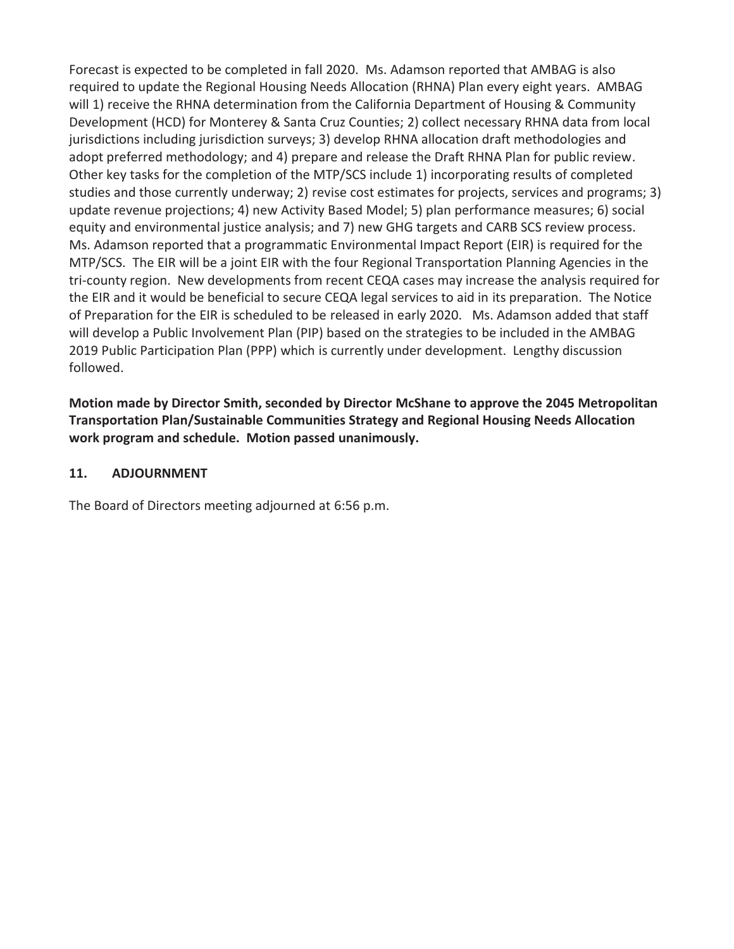Forecast is expected to be completed in fall 2020. Ms. Adamson reported that AMBAG is also required to update the Regional Housing Needs Allocation (RHNA) Plan every eight years. AMBAG will 1) receive the RHNA determination from the California Department of Housing & Community Development (HCD) for Monterey & Santa Cruz Counties; 2) collect necessary RHNA data from local jurisdictions including jurisdiction surveys; 3) develop RHNA allocation draft methodologies and adopt preferred methodology; and 4) prepare and release the Draft RHNA Plan for public review. Other key tasks for the completion of the MTP/SCS include 1) incorporating results of completed studies and those currently underway; 2) revise cost estimates for projects, services and programs; 3) update revenue projections; 4) new Activity Based Model; 5) plan performance measures; 6) social equity and environmental justice analysis; and 7) new GHG targets and CARB SCS review process. Ms. Adamson reported that a programmatic Environmental Impact Report (EIR) is required for the MTP/SCS. The EIR will be a joint EIR with the four Regional Transportation Planning Agencies in the tri-county region. New developments from recent CEQA cases may increase the analysis required for the EIR and it would be beneficial to secure CEQA legal services to aid in its preparation. The Notice of Preparation for the EIR is scheduled to be released in early 2020. Ms. Adamson added that staff will develop a Public Involvement Plan (PIP) based on the strategies to be included in the AMBAG 2019 Public Participation Plan (PPP) which is currently under development. Lengthy discussion followed.

**Motion made by Director Smith, seconded by Director McShane to approve the 2045 Metropolitan Transportation Plan/Sustainable Communities Strategy and Regional Housing Needs Allocation work program and schedule. Motion passed unanimously.** 

#### **11. ADJOURNMENT**

The Board of Directors meeting adjourned at 6:56 p.m.